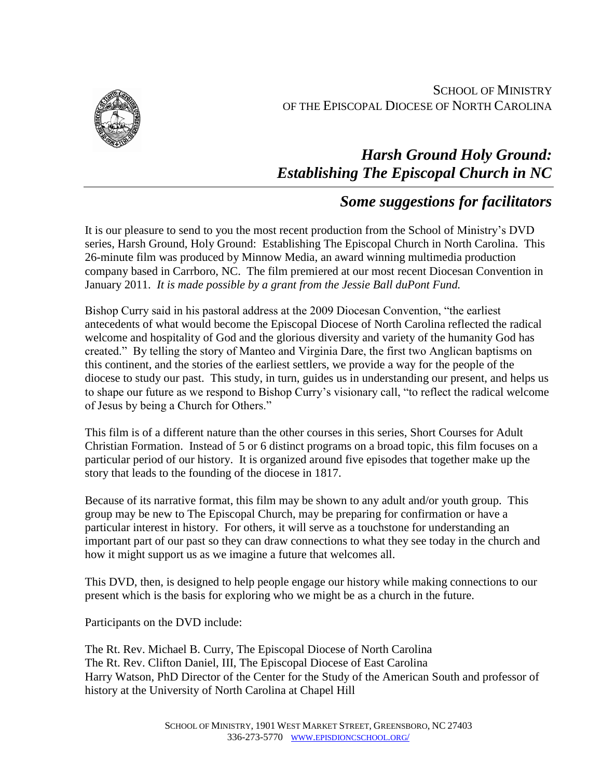SCHOOL OF MINISTRY OF THE EPISCOPAL DIOCESE OF NORTH CAROLINA



# *Harsh Ground Holy Ground: Establishing The Episcopal Church in NC*

# *Some suggestions for facilitators*

It is our pleasure to send to you the most recent production from the School of Ministry's DVD series, Harsh Ground, Holy Ground: Establishing The Episcopal Church in North Carolina. This 26-minute film was produced by Minnow Media, an award winning multimedia production company based in Carrboro, NC. The film premiered at our most recent Diocesan Convention in January 2011. *It is made possible by a grant from the Jessie Ball duPont Fund.*

Bishop Curry said in his pastoral address at the 2009 Diocesan Convention, "the earliest antecedents of what would become the Episcopal Diocese of North Carolina reflected the radical welcome and hospitality of God and the glorious diversity and variety of the humanity God has created." By telling the story of Manteo and Virginia Dare, the first two Anglican baptisms on this continent, and the stories of the earliest settlers, we provide a way for the people of the diocese to study our past. This study, in turn, guides us in understanding our present, and helps us to shape our future as we respond to Bishop Curry's visionary call, "to reflect the radical welcome of Jesus by being a Church for Others."

This film is of a different nature than the other courses in this series, Short Courses for Adult Christian Formation. Instead of 5 or 6 distinct programs on a broad topic, this film focuses on a particular period of our history. It is organized around five episodes that together make up the story that leads to the founding of the diocese in 1817.

Because of its narrative format, this film may be shown to any adult and/or youth group. This group may be new to The Episcopal Church, may be preparing for confirmation or have a particular interest in history. For others, it will serve as a touchstone for understanding an important part of our past so they can draw connections to what they see today in the church and how it might support us as we imagine a future that welcomes all.

This DVD, then, is designed to help people engage our history while making connections to our present which is the basis for exploring who we might be as a church in the future.

Participants on the DVD include:

The Rt. Rev. Michael B. Curry, The Episcopal Diocese of North Carolina The Rt. Rev. Clifton Daniel, III, The Episcopal Diocese of East Carolina Harry Watson, PhD Director of the Center for the Study of the American South and professor of history at the University of North Carolina at Chapel Hill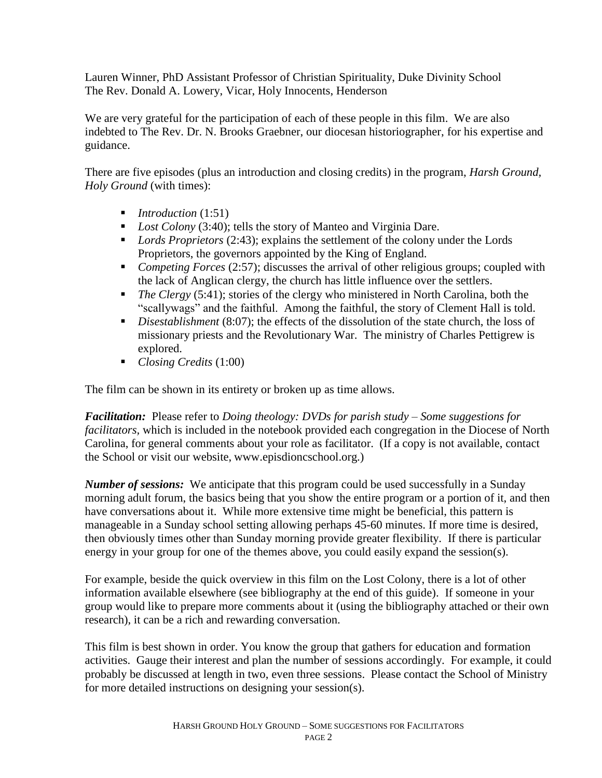Lauren Winner, PhD Assistant Professor of Christian Spirituality, Duke Divinity School The Rev. Donald A. Lowery, Vicar, Holy Innocents, Henderson

We are very grateful for the participation of each of these people in this film. We are also indebted to The Rev. Dr. N. Brooks Graebner, our diocesan historiographer, for his expertise and guidance.

There are five episodes (plus an introduction and closing credits) in the program, *Harsh Ground, Holy Ground* (with times):

- *Introduction* (1:51)
- *Lost Colony* (3:40); tells the story of Manteo and Virginia Dare.
- *Lords Proprietors* (2:43); explains the settlement of the colony under the Lords Proprietors, the governors appointed by the King of England.
- *Competing Forces* (2:57); discusses the arrival of other religious groups; coupled with the lack of Anglican clergy, the church has little influence over the settlers.
- *The Clergy* (5:41); stories of the clergy who ministered in North Carolina, both the "scallywags" and the faithful. Among the faithful, the story of Clement Hall is told.
- *Disestablishment* (8:07); the effects of the dissolution of the state church, the loss of missionary priests and the Revolutionary War. The ministry of Charles Pettigrew is explored.
- *Closing Credits* (1:00)

The film can be shown in its entirety or broken up as time allows.

*Facilitation:* Please refer to *Doing theology: DVDs for parish study – Some suggestions for facilitators,* which is included in the notebook provided each congregation in the Diocese of North Carolina, for general comments about your role as facilitator. (If a copy is not available, contact the School or visit our website, www.episdioncschool.org.)

*Number of sessions:* We anticipate that this program could be used successfully in a Sunday morning adult forum, the basics being that you show the entire program or a portion of it, and then have conversations about it. While more extensive time might be beneficial, this pattern is manageable in a Sunday school setting allowing perhaps 45-60 minutes. If more time is desired, then obviously times other than Sunday morning provide greater flexibility. If there is particular energy in your group for one of the themes above, you could easily expand the session(s).

For example, beside the quick overview in this film on the Lost Colony, there is a lot of other information available elsewhere (see bibliography at the end of this guide). If someone in your group would like to prepare more comments about it (using the bibliography attached or their own research), it can be a rich and rewarding conversation.

This film is best shown in order. You know the group that gathers for education and formation activities. Gauge their interest and plan the number of sessions accordingly. For example, it could probably be discussed at length in two, even three sessions. Please contact the School of Ministry for more detailed instructions on designing your session(s).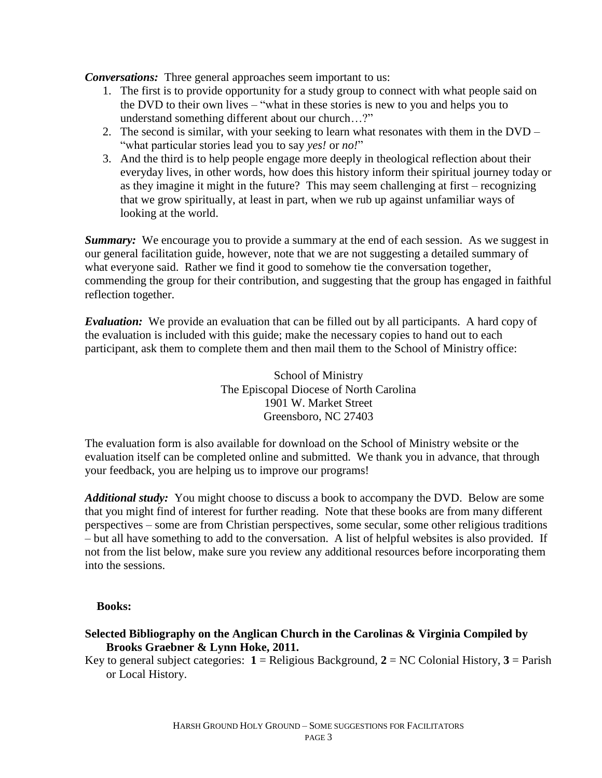*Conversations:* Three general approaches seem important to us:

- 1. The first is to provide opportunity for a study group to connect with what people said on the DVD to their own lives – "what in these stories is new to you and helps you to understand something different about our church…?"
- 2. The second is similar, with your seeking to learn what resonates with them in the DVD "what particular stories lead you to say *yes!* or *no!*"
- 3. And the third is to help people engage more deeply in theological reflection about their everyday lives, in other words, how does this history inform their spiritual journey today or as they imagine it might in the future? This may seem challenging at first – recognizing that we grow spiritually, at least in part, when we rub up against unfamiliar ways of looking at the world.

**Summary:** We encourage you to provide a summary at the end of each session. As we suggest in our general facilitation guide, however, note that we are not suggesting a detailed summary of what everyone said. Rather we find it good to somehow tie the conversation together, commending the group for their contribution, and suggesting that the group has engaged in faithful reflection together.

*Evaluation:* We provide an evaluation that can be filled out by all participants. A hard copy of the evaluation is included with this guide; make the necessary copies to hand out to each participant, ask them to complete them and then mail them to the School of Ministry office:

> School of Ministry The Episcopal Diocese of North Carolina 1901 W. Market Street Greensboro, NC 27403

The evaluation form is also available for download on the School of Ministry website or the evaluation itself can be completed online and submitted. We thank you in advance, that through your feedback, you are helping us to improve our programs!

*Additional study:* You might choose to discuss a book to accompany the DVD. Below are some that you might find of interest for further reading. Note that these books are from many different perspectives – some are from Christian perspectives, some secular, some other religious traditions – but all have something to add to the conversation. A list of helpful websites is also provided. If not from the list below, make sure you review any additional resources before incorporating them into the sessions.

#### **Books:**

#### **Selected Bibliography on the Anglican Church in the Carolinas & Virginia Compiled by Brooks Graebner & Lynn Hoke, 2011.**

Key to general subject categories:  $1 = \text{Religious Background}, 2 = \text{NC} \text{Colonial History}, 3 = \text{Parish}$ or Local History.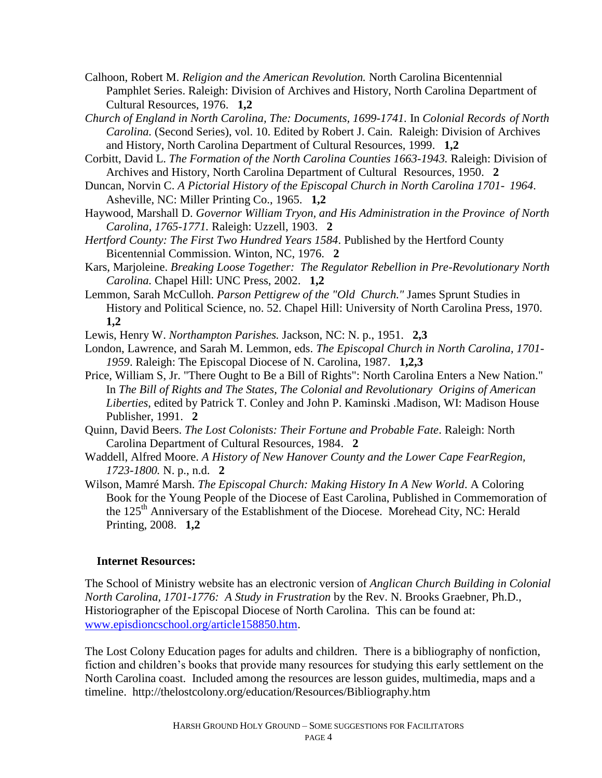- Calhoon, Robert M. *Religion and the American Revolution.* North Carolina Bicentennial Pamphlet Series. Raleigh: Division of Archives and History, North Carolina Department of Cultural Resources, 1976. **1,2**
- *Church of England in North Carolina, The: Documents, 1699-1741.* In *Colonial Records of North Carolina.* (Second Series), vol. 10. Edited by Robert J. Cain. Raleigh: Division of Archives and History, North Carolina Department of Cultural Resources, 1999. **1,2**
- Corbitt, David L. *The Formation of the North Carolina Counties 1663-1943.* Raleigh: Division of Archives and History, North Carolina Department of Cultural Resources, 1950. **2**
- Duncan, Norvin C. *A Pictorial History of the Episcopal Church in North Carolina 1701- 1964*. Asheville, NC: Miller Printing Co., 1965. **1,2**
- Haywood, Marshall D. *Governor William Tryon, and His Administration in the Province of North Carolina, 1765-1771.* Raleigh: Uzzell, 1903. **2**
- *Hertford County: The First Two Hundred Years 1584*. Published by the Hertford County Bicentennial Commission. Winton, NC, 1976. **2**
- Kars, Marjoleine. *Breaking Loose Together: The Regulator Rebellion in Pre-Revolutionary North Carolina.* Chapel Hill: UNC Press, 2002. **1,2**
- Lemmon, Sarah McCulloh. *Parson Pettigrew of the "Old Church."* James Sprunt Studies in History and Political Science, no. 52. Chapel Hill: University of North Carolina Press, 1970. **1,2**

Lewis, Henry W. *Northampton Parishes.* Jackson, NC: N. p., 1951. **2,3**

- London, Lawrence, and Sarah M. Lemmon, eds. *The Episcopal Church in North Carolina, 1701- 1959*. Raleigh: The Episcopal Diocese of N. Carolina, 1987. **1,2,3**
- Price, William S, Jr. "There Ought to Be a Bill of Rights": North Carolina Enters a New Nation." In *The Bill of Rights and The States, The Colonial and Revolutionary Origins of American Liberties*, edited by Patrick T. Conley and John P. Kaminski *.*Madison, WI: Madison House Publisher, 1991. **2**
- Quinn, David Beers. *The Lost Colonists: Their Fortune and Probable Fate*. Raleigh: North Carolina Department of Cultural Resources, 1984. **2**
- Waddell, Alfred Moore. *A History of New Hanover County and the Lower Cape FearRegion, 1723-1800.* N. p., n.d. **2**
- Wilson, Mamré Marsh. *The Episcopal Church: Making History In A New World*. A Coloring Book for the Young People of the Diocese of East Carolina, Published in Commemoration of the  $125<sup>th</sup>$  Anniversary of the Establishment of the Diocese. Morehead City, NC: Herald Printing, 2008. **1,2**

### **Internet Resources:**

The School of Ministry website has an electronic version of *Anglican Church Building in Colonial North Carolina, 1701-1776: A Study in Frustration* by the Rev. N. Brooks Graebner, Ph.D., Historiographer of the Episcopal Diocese of North Carolina. This can be found at: [www.episdioncschool.org/article158850.htm.](http://www.episdioncschool.org/article158850.htm)

The Lost Colony Education pages for adults and children. There is a bibliography of nonfiction, fiction and children's books that provide many resources for studying this early settlement on the North Carolina coast. Included among the resources are lesson guides, multimedia, maps and a timeline. http://thelostcolony.org/education/Resources/Bibliography.htm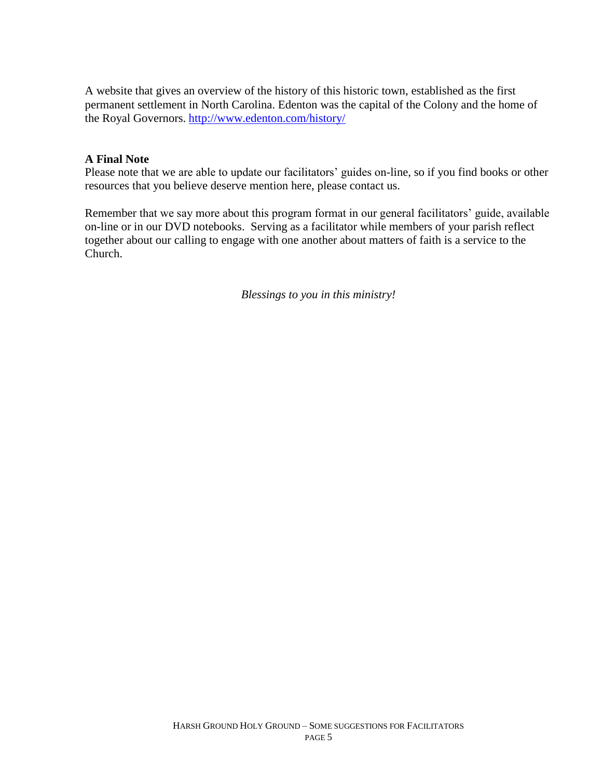A website that gives an overview of the history of this historic town, established as the first permanent settlement in North Carolina. Edenton was the capital of the Colony and the home of the Royal Governors. <http://www.edenton.com/history/>

### **A Final Note**

Please note that we are able to update our facilitators' guides on-line, so if you find books or other resources that you believe deserve mention here, please contact us.

Remember that we say more about this program format in our general facilitators' guide, available on-line or in our DVD notebooks. Serving as a facilitator while members of your parish reflect together about our calling to engage with one another about matters of faith is a service to the Church.

*Blessings to you in this ministry!*